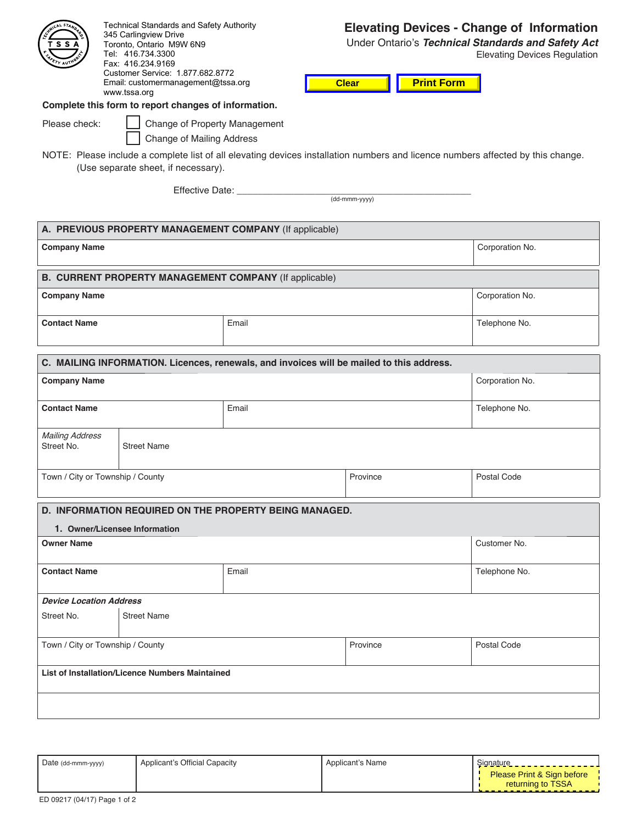| Please check:                                   | <b>Technical Standards and Safety Authority</b><br>345 Carlingview Drive<br>Toronto, Ontario M9W 6N9<br>Tel: 416.734.3300<br>Fax: 416.234.9169<br>Customer Service: 1.877.682.8772<br>Email: customermanagement@tssa.org<br>www.tssa.org<br>Complete this form to report changes of information.<br>Change of Property Management<br><b>Change of Mailing Address</b><br>(Use separate sheet, if necessary). |                                                                                          | <b>Print Form</b><br><b>Clear</b><br>NOTE: Please include a complete list of all elevating devices installation numbers and licence numbers affected by this change. | <b>Elevating Devices - Change of Information</b><br>Under Ontario's Technical Standards and Safety Act<br><b>Elevating Devices Regulation</b> |  |  |  |
|-------------------------------------------------|--------------------------------------------------------------------------------------------------------------------------------------------------------------------------------------------------------------------------------------------------------------------------------------------------------------------------------------------------------------------------------------------------------------|------------------------------------------------------------------------------------------|----------------------------------------------------------------------------------------------------------------------------------------------------------------------|-----------------------------------------------------------------------------------------------------------------------------------------------|--|--|--|
|                                                 |                                                                                                                                                                                                                                                                                                                                                                                                              | Effective Date: __________                                                               | (dd-mmm-yyyy)                                                                                                                                                        |                                                                                                                                               |  |  |  |
|                                                 |                                                                                                                                                                                                                                                                                                                                                                                                              | A. PREVIOUS PROPERTY MANAGEMENT COMPANY (If applicable)                                  |                                                                                                                                                                      |                                                                                                                                               |  |  |  |
| <b>Company Name</b>                             |                                                                                                                                                                                                                                                                                                                                                                                                              |                                                                                          |                                                                                                                                                                      | Corporation No.                                                                                                                               |  |  |  |
|                                                 |                                                                                                                                                                                                                                                                                                                                                                                                              | <b>B. CURRENT PROPERTY MANAGEMENT COMPANY (If applicable)</b>                            |                                                                                                                                                                      |                                                                                                                                               |  |  |  |
| <b>Company Name</b>                             |                                                                                                                                                                                                                                                                                                                                                                                                              |                                                                                          |                                                                                                                                                                      | Corporation No.                                                                                                                               |  |  |  |
| <b>Contact Name</b>                             |                                                                                                                                                                                                                                                                                                                                                                                                              | Email                                                                                    |                                                                                                                                                                      | Telephone No.                                                                                                                                 |  |  |  |
|                                                 |                                                                                                                                                                                                                                                                                                                                                                                                              | C. MAILING INFORMATION. Licences, renewals, and invoices will be mailed to this address. |                                                                                                                                                                      |                                                                                                                                               |  |  |  |
| <b>Company Name</b>                             |                                                                                                                                                                                                                                                                                                                                                                                                              |                                                                                          |                                                                                                                                                                      | Corporation No.                                                                                                                               |  |  |  |
| <b>Contact Name</b>                             |                                                                                                                                                                                                                                                                                                                                                                                                              | Email                                                                                    |                                                                                                                                                                      | Telephone No.                                                                                                                                 |  |  |  |
| <b>Mailing Address</b><br>Street No.            | <b>Street Name</b>                                                                                                                                                                                                                                                                                                                                                                                           |                                                                                          |                                                                                                                                                                      |                                                                                                                                               |  |  |  |
| Town / City or Township / County                |                                                                                                                                                                                                                                                                                                                                                                                                              |                                                                                          | Province                                                                                                                                                             | Postal Code                                                                                                                                   |  |  |  |
|                                                 |                                                                                                                                                                                                                                                                                                                                                                                                              | D. INFORMATION REQUIRED ON THE PROPERTY BEING MANAGED.                                   |                                                                                                                                                                      |                                                                                                                                               |  |  |  |
|                                                 | 1. Owner/Licensee Information                                                                                                                                                                                                                                                                                                                                                                                |                                                                                          |                                                                                                                                                                      |                                                                                                                                               |  |  |  |
| <b>Owner Name</b>                               |                                                                                                                                                                                                                                                                                                                                                                                                              |                                                                                          |                                                                                                                                                                      | Customer No.                                                                                                                                  |  |  |  |
| <b>Contact Name</b>                             |                                                                                                                                                                                                                                                                                                                                                                                                              | Email                                                                                    |                                                                                                                                                                      | Telephone No.                                                                                                                                 |  |  |  |
| <b>Device Location Address</b>                  |                                                                                                                                                                                                                                                                                                                                                                                                              |                                                                                          |                                                                                                                                                                      |                                                                                                                                               |  |  |  |
| Street No.                                      | <b>Street Name</b>                                                                                                                                                                                                                                                                                                                                                                                           |                                                                                          |                                                                                                                                                                      |                                                                                                                                               |  |  |  |
| Town / City or Township / County                |                                                                                                                                                                                                                                                                                                                                                                                                              |                                                                                          | Province                                                                                                                                                             | Postal Code                                                                                                                                   |  |  |  |
| List of Installation/Licence Numbers Maintained |                                                                                                                                                                                                                                                                                                                                                                                                              |                                                                                          |                                                                                                                                                                      |                                                                                                                                               |  |  |  |
|                                                 |                                                                                                                                                                                                                                                                                                                                                                                                              |                                                                                          |                                                                                                                                                                      |                                                                                                                                               |  |  |  |

| Date (dd-mmm-yyyy) | Applicant's Official Capacity | Applicant's Name | Signature _______________                                                 |
|--------------------|-------------------------------|------------------|---------------------------------------------------------------------------|
|                    |                               |                  | Please Print & Sign before<br>returning to TSSA<br><u>---------------</u> |